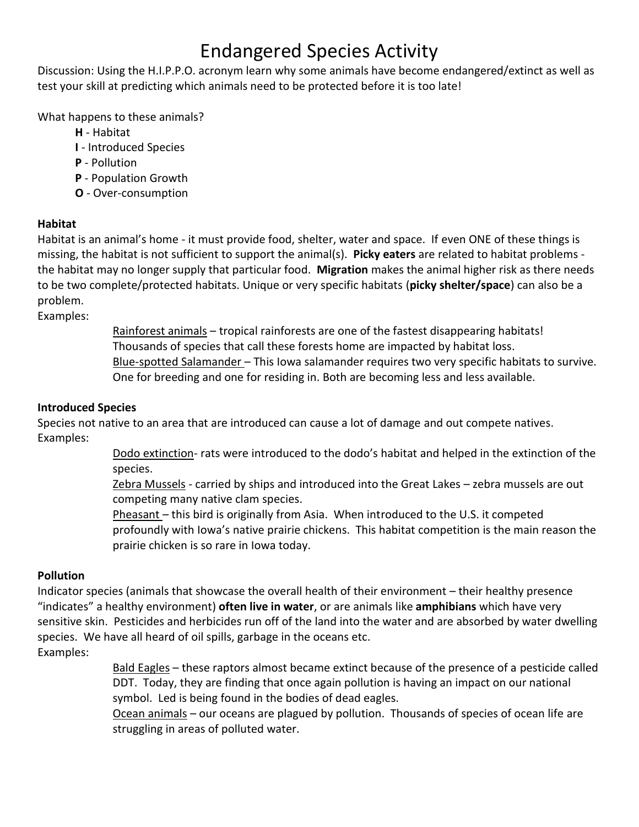### Endangered Species Activity

Discussion: Using the H.I.P.P.O. acronym learn why some animals have become endangered/extinct as well as test your skill at predicting which animals need to be protected before it is too late!

What happens to these animals?

- **H** Habitat
- **I** Introduced Species
- **P** Pollution
- **P** Population Growth
- **O** Over-consumption

#### **Habitat**

Habitat is an animal's home - it must provide food, shelter, water and space. If even ONE of these things is missing, the habitat is not sufficient to support the animal(s). **Picky eaters** are related to habitat problems the habitat may no longer supply that particular food. **Migration** makes the animal higher risk as there needs to be two complete/protected habitats. Unique or very specific habitats (**picky shelter/space**) can also be a problem.

Examples:

Rainforest animals – tropical rainforests are one of the fastest disappearing habitats! Thousands of species that call these forests home are impacted by habitat loss. Blue-spotted Salamander - This Iowa salamander requires two very specific habitats to survive. One for breeding and one for residing in. Both are becoming less and less available.

### **Introduced Species**

Species not native to an area that are introduced can cause a lot of damage and out compete natives. Examples:

> Dodo extinction- rats were introduced to the dodo's habitat and helped in the extinction of the species.

Zebra Mussels - carried by ships and introduced into the Great Lakes - zebra mussels are out competing many native clam species.

Pheasant – this bird is originally from Asia. When introduced to the U.S. it competed profoundly with Iowa's native prairie chickens. This habitat competition is the main reason the prairie chicken is so rare in Iowa today.

#### **Pollution**

Indicator species (animals that showcase the overall health of their environment – their healthy presence "indicates" a healthy environment) **often live in water**, or are animals like **amphibians** which have very sensitive skin. Pesticides and herbicides run off of the land into the water and are absorbed by water dwelling species. We have all heard of oil spills, garbage in the oceans etc. Examples:

> Bald Eagles – these raptors almost became extinct because of the presence of a pesticide called DDT. Today, they are finding that once again pollution is having an impact on our national symbol. Led is being found in the bodies of dead eagles.

Ocean animals – our oceans are plagued by pollution. Thousands of species of ocean life are struggling in areas of polluted water.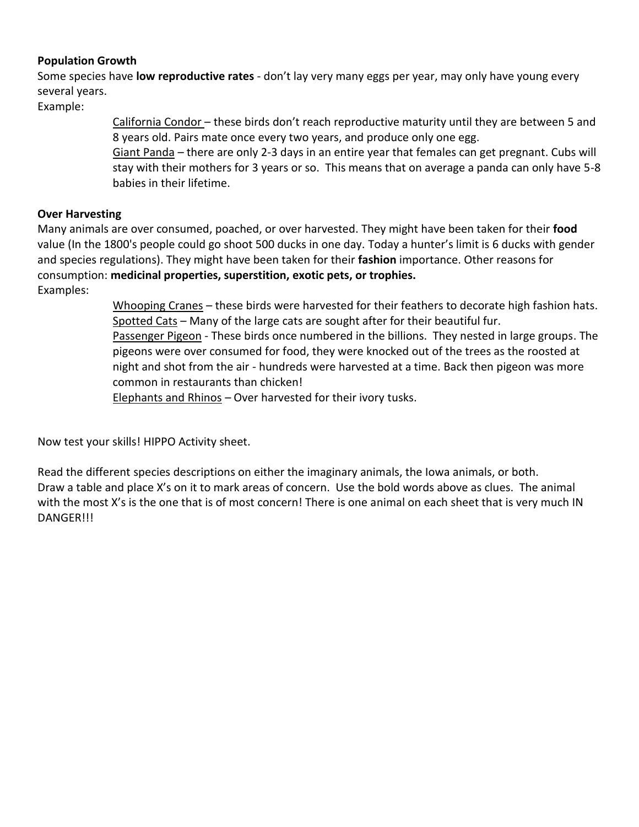#### **Population Growth**

Some species have **low reproductive rates** - don't lay very many eggs per year, may only have young every several years.

Example:

California Condor – these birds don't reach reproductive maturity until they are between 5 and 8 years old. Pairs mate once every two years, and produce only one egg.

Giant Panda – there are only 2-3 days in an entire year that females can get pregnant. Cubs will stay with their mothers for 3 years or so. This means that on average a panda can only have 5-8 babies in their lifetime.

#### **Over Harvesting**

Many animals are over consumed, poached, or over harvested. They might have been taken for their **food**  value (In the 1800's people could go shoot 500 ducks in one day. Today a hunter's limit is 6 ducks with gender and species regulations). They might have been taken for their **fashion** importance. Other reasons for consumption: **medicinal properties, superstition, exotic pets, or trophies.** Examples:

> Whooping Cranes – these birds were harvested for their feathers to decorate high fashion hats. Spotted Cats - Many of the large cats are sought after for their beautiful fur. Passenger Pigeon - These birds once numbered in the billions. They nested in large groups. The pigeons were over consumed for food, they were knocked out of the trees as the roosted at night and shot from the air - hundreds were harvested at a time. Back then pigeon was more common in restaurants than chicken!

Elephants and Rhinos – Over harvested for their ivory tusks.

Now test your skills! HIPPO Activity sheet.

Read the different species descriptions on either the imaginary animals, the Iowa animals, or both. Draw a table and place X's on it to mark areas of concern. Use the bold words above as clues. The animal with the most X's is the one that is of most concern! There is one animal on each sheet that is very much IN DANGER!!!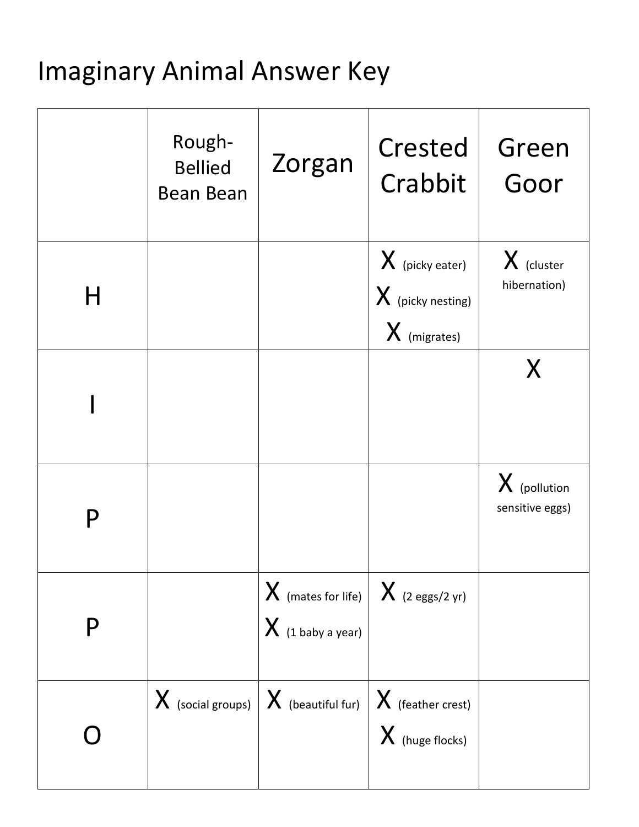# Imaginary Animal Answer Key

|   | Rough-<br><b>Bellied</b><br><b>Bean Bean</b> | Zorgan                                                                              | Crested<br>Crabbit                                               | Green<br>Goor                     |
|---|----------------------------------------------|-------------------------------------------------------------------------------------|------------------------------------------------------------------|-----------------------------------|
| H |                                              |                                                                                     | $\chi$ (picky eater)<br>$\chi$ (picky nesting)<br>$X$ (migrates) | $X$ (cluster<br>hibernation)      |
|   |                                              |                                                                                     |                                                                  | X                                 |
| P |                                              |                                                                                     |                                                                  | $X$ (pollution<br>sensitive eggs) |
| P |                                              | $X$ (mates for life) $X$ (2 eggs/2 yr)<br>$X$ (1 baby a year)                       |                                                                  |                                   |
|   |                                              | $\mathbf X$ (social groups) $\mathbf X$ (beautiful fur) $\mathbf X$ (feather crest) | $\chi$ (huge flocks)                                             |                                   |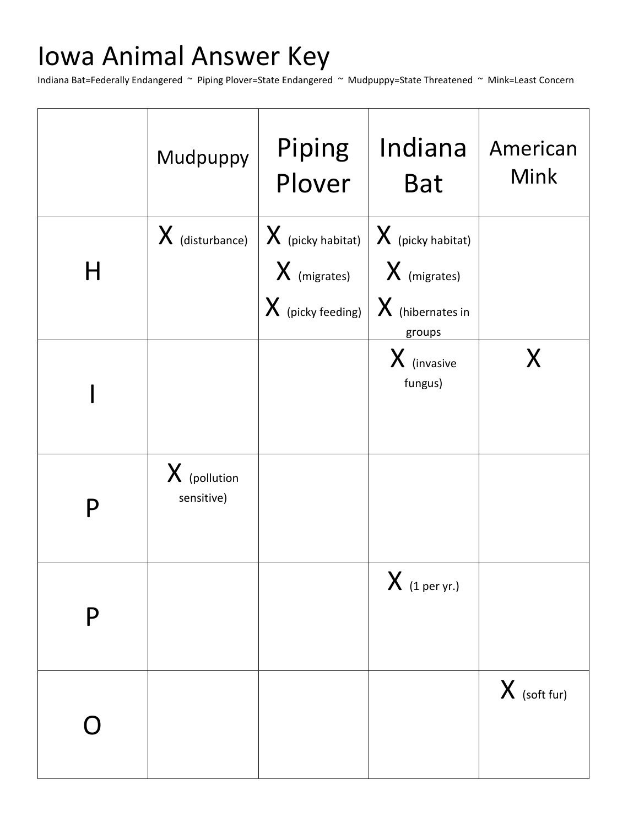# Iowa Animal Answer Key

Indiana Bat=Federally Endangered ~ Piping Plover=State Endangered ~ Mudpuppy=State Threatened ~ Mink=Least Concern

|   | Mudpuppy                       | Piping<br>Plover                                                      | Indiana<br><b>Bat</b>                                                   | American<br><b>Mink</b> |
|---|--------------------------------|-----------------------------------------------------------------------|-------------------------------------------------------------------------|-------------------------|
| H | $\boldsymbol{X}$ (disturbance) | $X$ (picky habitat)<br>$\bm{X}$ (migrates)<br>$X$ (picky feeding) $ $ | $X$ (picky habitat)<br>$  X$ (migrates)<br>$X$ (hibernates in<br>groups |                         |
|   |                                |                                                                       | X (invasive<br>fungus)                                                  |                         |
| P | $X$ (pollution<br>sensitive)   |                                                                       |                                                                         |                         |
| P |                                |                                                                       | $X$ (1 per yr.)                                                         |                         |
|   |                                |                                                                       |                                                                         | $X$ (soft fur)          |